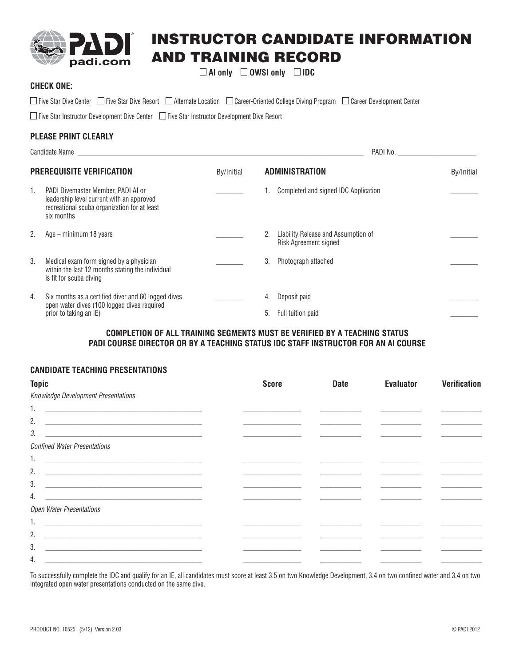

# **INSTRUCTOR CANDIDATE INFORMATION AND TRAINING RECORD**

 **AI only OWSI only IDC**

## **CHECK ONE:**

□ Five Star Dive Center □ Five Star Dive Resort □ Alternate Location □ Career-Oriented College Diving Program □ Career Development Center

 $\Box$  Five Star Instructor Development Dive Center  $\Box$  Five Star Instructor Development Dive Resort

# **PLEASE PRINT CLEARLY**

| Candidate Name and the contract of the contract of the contract of the contract of the contract of the contract of the contract of the contract of the contract of the contract of the contract of the contract of the contrac |                                                                                                                                               |            |                       |                                                                     |            |  |
|--------------------------------------------------------------------------------------------------------------------------------------------------------------------------------------------------------------------------------|-----------------------------------------------------------------------------------------------------------------------------------------------|------------|-----------------------|---------------------------------------------------------------------|------------|--|
| PREREQUISITE VERIFICATION                                                                                                                                                                                                      |                                                                                                                                               | By/Initial | <b>ADMINISTRATION</b> |                                                                     | By/Initial |  |
| 1.                                                                                                                                                                                                                             | PADI Divemaster Member, PADI AI or<br>leadership level current with an approved<br>recreational scuba organization for at least<br>six months |            |                       | 1. Completed and signed IDC Application                             |            |  |
| 2.                                                                                                                                                                                                                             | Age – minimum 18 years                                                                                                                        |            | 2.                    | Liability Release and Assumption of<br><b>Risk Agreement signed</b> |            |  |
| 3.                                                                                                                                                                                                                             | Medical exam form signed by a physician<br>within the last 12 months stating the individual<br>is fit for scuba diving                        |            | 3.                    | Photograph attached                                                 |            |  |
| 4.                                                                                                                                                                                                                             | Six months as a certified diver and 60 logged dives<br>open water dives (100 logged dives required                                            |            | 4.                    | Deposit paid                                                        |            |  |
|                                                                                                                                                                                                                                | prior to taking an IE)                                                                                                                        |            | 5.                    | Full tuition paid                                                   |            |  |

## **COMPLETION OF ALL TRAINING SEGMENTS MUST BE VERIFIED BY A TEACHING STATUS PADI COURSE DIRECTOR OR BY A TEACHING STATUS IDC STAFF INSTRUCTOR FOR AN AI COURSE**

#### **CANDIDATE TEACHING PRESENTATIONS**

| <b>Topic</b>                                                                                                               | <b>Score</b> | <b>Date</b> | <b>Evaluator</b> | <b>Verification</b> |
|----------------------------------------------------------------------------------------------------------------------------|--------------|-------------|------------------|---------------------|
| Knowledge Development Presentations                                                                                        |              |             |                  |                     |
|                                                                                                                            |              |             |                  |                     |
| 2.                                                                                                                         |              |             |                  |                     |
| 3.                                                                                                                         |              |             |                  |                     |
| <b>Confined Water Presentations</b>                                                                                        |              |             |                  |                     |
|                                                                                                                            |              |             |                  |                     |
| 2.                                                                                                                         |              |             |                  |                     |
| 3.                                                                                                                         |              |             |                  |                     |
| 4.<br><u> 2000 - 2000 - 2000 - 2000 - 2000 - 2000 - 2000 - 2000 - 2000 - 2000 - 2000 - 2000 - 2000 - 2000 - 2000 - 200</u> |              |             |                  |                     |
| Open Water Presentations                                                                                                   |              |             |                  |                     |
| 1.                                                                                                                         |              |             |                  |                     |
| 2.                                                                                                                         |              |             |                  |                     |
| 3.<br>the control of the control of the control of the control of the control of                                           |              |             |                  |                     |
| 4.                                                                                                                         |              |             |                  |                     |

To successfully complete the IDC and qualify for an IE, all candidates must score at least 3.5 on two Knowledge Development, 3.4 on two confined water and 3.4 on two integrated open water presentations conducted on the same dive.